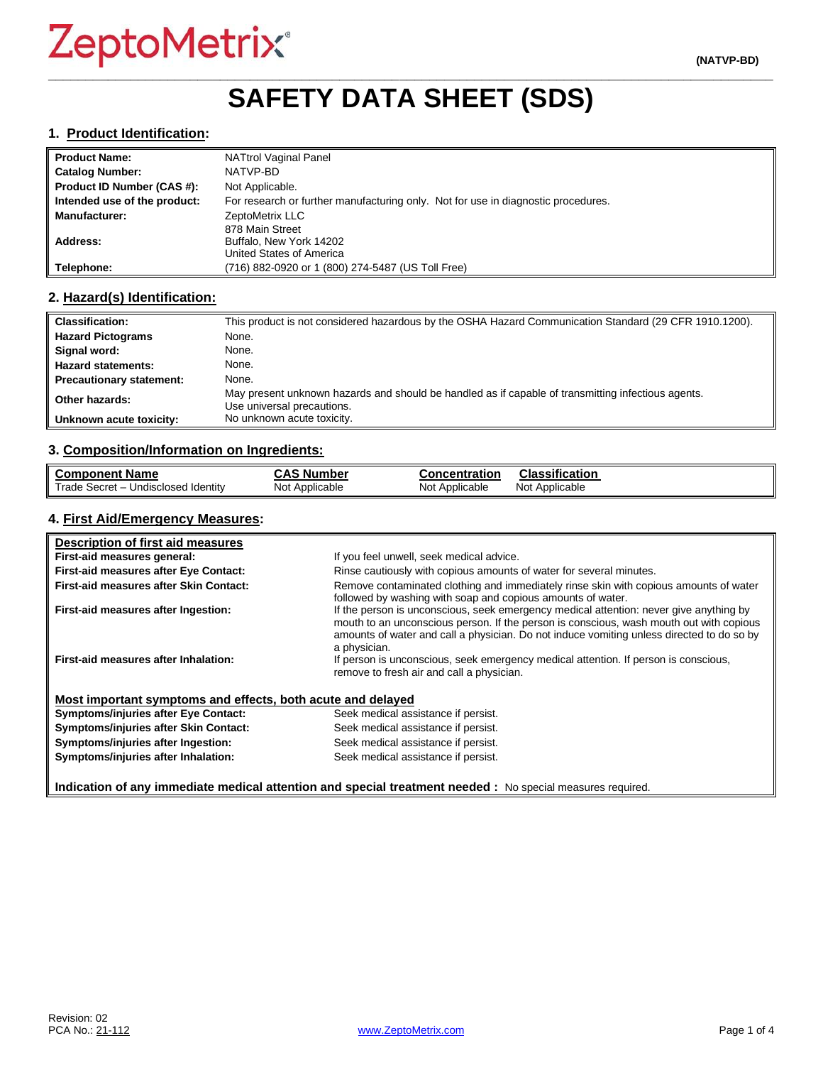## **\_\_\_\_\_\_\_\_\_\_\_\_\_\_\_\_\_\_\_\_\_\_\_\_\_\_\_\_\_\_\_\_\_\_\_\_\_\_\_\_\_\_\_\_\_\_\_\_\_\_\_\_\_\_\_\_\_\_\_\_\_\_\_\_\_\_\_\_\_\_\_\_\_\_\_\_\_\_\_\_\_\_\_\_\_\_\_\_\_\_\_\_\_\_\_\_\_ SAFETY DATA SHEET (SDS)**

#### **1. Product Identification:**

| <b>Product Name:</b>         | <b>NATtrol Vaginal Panel</b>                                                      |
|------------------------------|-----------------------------------------------------------------------------------|
| <b>Catalog Number:</b>       | NATVP-BD                                                                          |
| Product ID Number (CAS #):   | Not Applicable.                                                                   |
| Intended use of the product: | For research or further manufacturing only. Not for use in diagnostic procedures. |
| <b>Manufacturer:</b>         | ZeptoMetrix LLC                                                                   |
|                              | 878 Main Street                                                                   |
| Address:                     | Buffalo, New York 14202                                                           |
|                              | United States of America                                                          |
| Telephone:                   | (716) 882-0920 or 1 (800) 274-5487 (US Toll Free)                                 |

#### **2. Hazard(s) Identification:**

| <b>Classification:</b>          | This product is not considered hazardous by the OSHA Hazard Communication Standard (29 CFR 1910.1200).                           |
|---------------------------------|----------------------------------------------------------------------------------------------------------------------------------|
| <b>Hazard Pictograms</b>        | None.                                                                                                                            |
| Signal word:                    | None.                                                                                                                            |
| <b>Hazard statements:</b>       | None.                                                                                                                            |
| <b>Precautionary statement:</b> | None.                                                                                                                            |
| Other hazards:                  | May present unknown hazards and should be handled as if capable of transmitting infectious agents.<br>Use universal precautions. |
| Unknown acute toxicity:         | No unknown acute toxicity.                                                                                                       |

#### **3. Composition/Information on Ingredients:**

| <b>Component Name</b>               | CAS Number     | <b>Concentration</b> | <b>Classification</b> |
|-------------------------------------|----------------|----------------------|-----------------------|
| Trade Secret - Undisclosed Identity | Not Applicable | Not Applicable       | Not Applicable        |

## **4. First Aid/Emergency Measures:**

| Description of first aid measures                           |                                                                                                                                                                                                                                                                                                |
|-------------------------------------------------------------|------------------------------------------------------------------------------------------------------------------------------------------------------------------------------------------------------------------------------------------------------------------------------------------------|
| First-aid measures general:                                 | If you feel unwell, seek medical advice.                                                                                                                                                                                                                                                       |
| First-aid measures after Eye Contact:                       | Rinse cautiously with copious amounts of water for several minutes.                                                                                                                                                                                                                            |
| First-aid measures after Skin Contact:                      | Remove contaminated clothing and immediately rinse skin with copious amounts of water<br>followed by washing with soap and copious amounts of water.                                                                                                                                           |
| First-aid measures after Ingestion:                         | If the person is unconscious, seek emergency medical attention: never give anything by<br>mouth to an unconscious person. If the person is conscious, wash mouth out with copious<br>amounts of water and call a physician. Do not induce vomiting unless directed to do so by<br>a physician. |
| First-aid measures after Inhalation:                        | If person is unconscious, seek emergency medical attention. If person is conscious,<br>remove to fresh air and call a physician.                                                                                                                                                               |
| Most important symptoms and effects, both acute and delayed |                                                                                                                                                                                                                                                                                                |
| <b>Symptoms/injuries after Eye Contact:</b>                 | Seek medical assistance if persist.                                                                                                                                                                                                                                                            |
| Symptoms/injuries after Skin Contact:                       | Seek medical assistance if persist.                                                                                                                                                                                                                                                            |
| Symptoms/injuries after Ingestion:                          | Seek medical assistance if persist.                                                                                                                                                                                                                                                            |
| Symptoms/injuries after Inhalation:                         | Seek medical assistance if persist.                                                                                                                                                                                                                                                            |

**Indication of any immediate medical attention and special treatment needed :** No special measures required.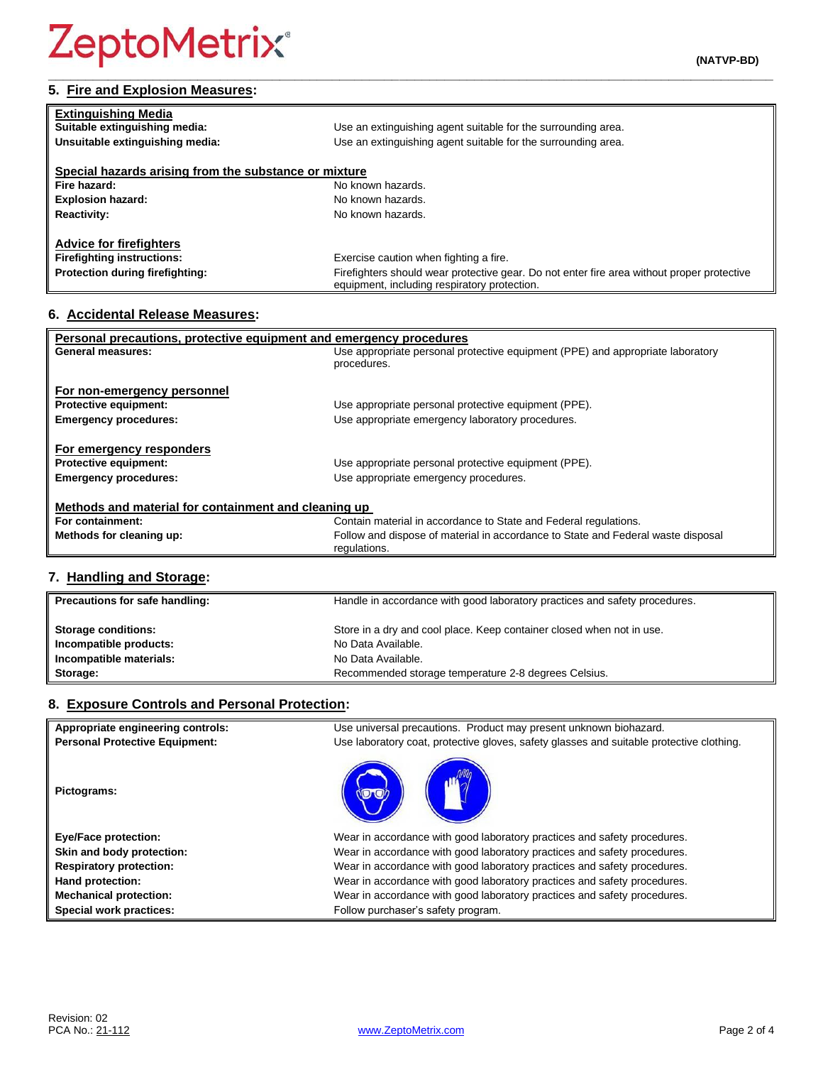## **5. Fire and Explosion Measures:**

| <b>Extinguishing Media</b>                            |                                                                                                                                            |
|-------------------------------------------------------|--------------------------------------------------------------------------------------------------------------------------------------------|
| Suitable extinguishing media:                         | Use an extinguishing agent suitable for the surrounding area.                                                                              |
| Unsuitable extinguishing media:                       | Use an extinguishing agent suitable for the surrounding area.                                                                              |
|                                                       |                                                                                                                                            |
| Special hazards arising from the substance or mixture |                                                                                                                                            |
| Fire hazard:                                          | No known hazards.                                                                                                                          |
| <b>Explosion hazard:</b>                              | No known hazards.                                                                                                                          |
| <b>Reactivity:</b>                                    | No known hazards.                                                                                                                          |
|                                                       |                                                                                                                                            |
| <b>Advice for firefighters</b>                        |                                                                                                                                            |
| <b>Firefighting instructions:</b>                     | Exercise caution when fighting a fire.                                                                                                     |
| Protection during firefighting:                       | Firefighters should wear protective gear. Do not enter fire area without proper protective<br>equipment, including respiratory protection. |

**\_\_\_\_\_\_\_\_\_\_\_\_\_\_\_\_\_\_\_\_\_\_\_\_\_\_\_\_\_\_\_\_\_\_\_\_\_\_\_\_\_\_\_\_\_\_\_\_\_\_\_\_\_\_\_\_\_\_\_\_\_\_\_\_\_\_\_\_\_\_\_\_\_\_\_\_\_\_\_\_\_\_\_\_\_\_\_\_\_\_\_\_\_\_\_\_\_**

## **6. Accidental Release Measures:**

| Personal precautions, protective equipment and emergency procedures |                                                                                  |  |
|---------------------------------------------------------------------|----------------------------------------------------------------------------------|--|
| General measures:                                                   | Use appropriate personal protective equipment (PPE) and appropriate laboratory   |  |
|                                                                     | procedures.                                                                      |  |
|                                                                     |                                                                                  |  |
| For non-emergency personnel                                         |                                                                                  |  |
| <b>Protective equipment:</b>                                        | Use appropriate personal protective equipment (PPE).                             |  |
| <b>Emergency procedures:</b>                                        | Use appropriate emergency laboratory procedures.                                 |  |
|                                                                     |                                                                                  |  |
| For emergency responders                                            |                                                                                  |  |
| <b>Protective equipment:</b>                                        | Use appropriate personal protective equipment (PPE).                             |  |
| <b>Emergency procedures:</b>                                        | Use appropriate emergency procedures.                                            |  |
|                                                                     |                                                                                  |  |
| Methods and material for containment and cleaning up                |                                                                                  |  |
| For containment:                                                    | Contain material in accordance to State and Federal regulations.                 |  |
| Methods for cleaning up:                                            | Follow and dispose of material in accordance to State and Federal waste disposal |  |
|                                                                     | regulations.                                                                     |  |
|                                                                     |                                                                                  |  |

## **7. Handling and Storage:**

| Precautions for safe handling: | Handle in accordance with good laboratory practices and safety procedures. |
|--------------------------------|----------------------------------------------------------------------------|
| <b>Storage conditions:</b>     | Store in a dry and cool place. Keep container closed when not in use.      |
| Incompatible products:         | No Data Available.                                                         |
| Incompatible materials:        | No Data Available.                                                         |
| Storage:                       | Recommended storage temperature 2-8 degrees Celsius.                       |

## **8. Exposure Controls and Personal Protection:**

| Appropriate engineering controls:     | Use universal precautions. Product may present unknown biohazard.                        |
|---------------------------------------|------------------------------------------------------------------------------------------|
| <b>Personal Protective Equipment:</b> | Use laboratory coat, protective gloves, safety glasses and suitable protective clothing. |
| Pictograms:                           |                                                                                          |
| <b>Eye/Face protection:</b>           | Wear in accordance with good laboratory practices and safety procedures.                 |
| Skin and body protection:             | Wear in accordance with good laboratory practices and safety procedures.                 |
| <b>Respiratory protection:</b>        | Wear in accordance with good laboratory practices and safety procedures.                 |
| Hand protection:                      | Wear in accordance with good laboratory practices and safety procedures.                 |
| <b>Mechanical protection:</b>         | Wear in accordance with good laboratory practices and safety procedures.                 |
| Special work practices:               | Follow purchaser's safety program.                                                       |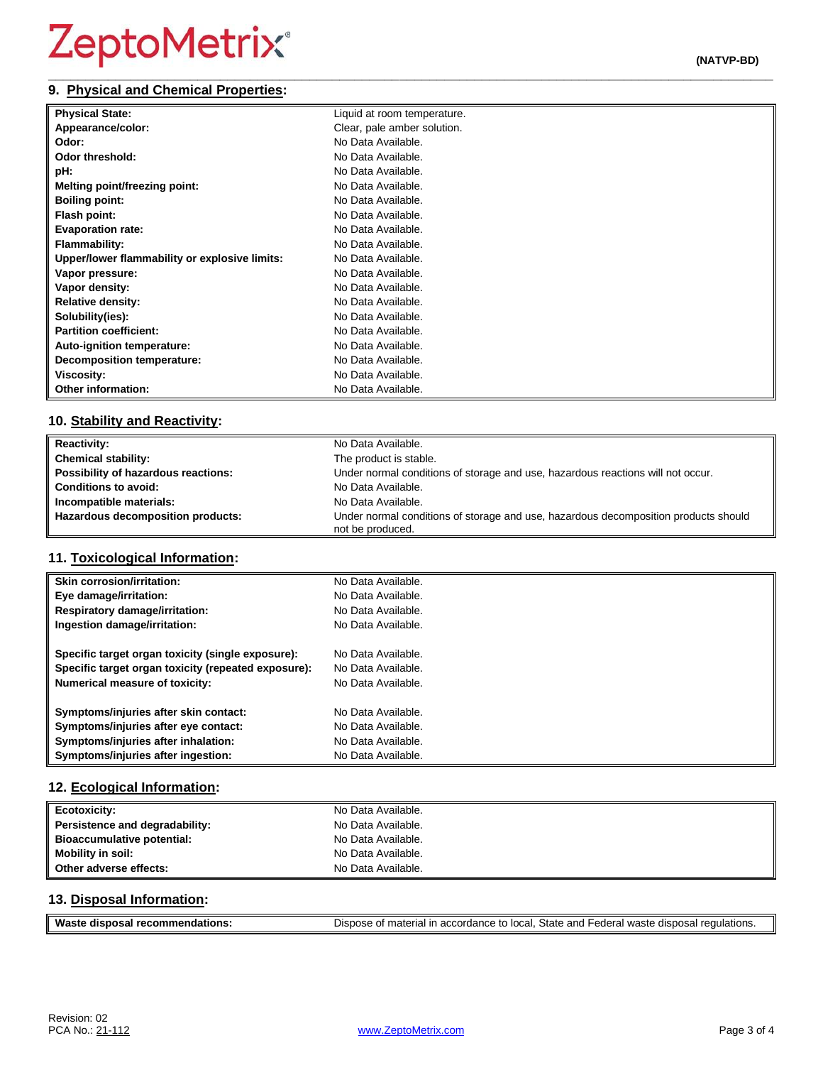#### **\_\_\_\_\_\_\_\_\_\_\_\_\_\_\_\_\_\_\_\_\_\_\_\_\_\_\_\_\_\_\_\_\_\_\_\_\_\_\_\_\_\_\_\_\_\_\_\_\_\_\_\_\_\_\_\_\_\_\_\_\_\_\_\_\_\_\_\_\_\_\_\_\_\_\_\_\_\_\_\_\_\_\_\_\_\_\_\_\_\_\_\_\_\_\_\_\_ 9. Physical and Chemical Properties:**

| <b>Physical State:</b>                        | Liquid at room temperature. |
|-----------------------------------------------|-----------------------------|
| Appearance/color:                             | Clear, pale amber solution. |
| Odor:                                         | No Data Available.          |
| Odor threshold:                               | No Data Available.          |
| pH:                                           | No Data Available.          |
| Melting point/freezing point:                 | No Data Available.          |
| <b>Boiling point:</b>                         | No Data Available.          |
| Flash point:                                  | No Data Available.          |
| <b>Evaporation rate:</b>                      | No Data Available.          |
| <b>Flammability:</b>                          | No Data Available.          |
| Upper/lower flammability or explosive limits: | No Data Available.          |
| Vapor pressure:                               | No Data Available.          |
| Vapor density:                                | No Data Available.          |
| <b>Relative density:</b>                      | No Data Available.          |
| Solubility(ies):                              | No Data Available.          |
| <b>Partition coefficient:</b>                 | No Data Available.          |
| Auto-ignition temperature:                    | No Data Available.          |
| Decomposition temperature:                    | No Data Available.          |
| Viscosity:                                    | No Data Available.          |
| <b>Other information:</b>                     | No Data Available.          |

## **10. Stability and Reactivity:**

| <b>Reactivity:</b>                  | No Data Available.                                                                                      |
|-------------------------------------|---------------------------------------------------------------------------------------------------------|
| <b>Chemical stability:</b>          | The product is stable.                                                                                  |
| Possibility of hazardous reactions: | Under normal conditions of storage and use, hazardous reactions will not occur.                         |
| <b>Conditions to avoid:</b>         | No Data Available.                                                                                      |
| Incompatible materials:             | No Data Available.                                                                                      |
| Hazardous decomposition products:   | Under normal conditions of storage and use, hazardous decomposition products should<br>not be produced. |

## **11. Toxicological Information:**

| <b>Skin corrosion/irritation:</b>                   | No Data Available. |
|-----------------------------------------------------|--------------------|
| Eye damage/irritation:                              | No Data Available. |
| <b>Respiratory damage/irritation:</b>               | No Data Available. |
| Ingestion damage/irritation:                        | No Data Available. |
| Specific target organ toxicity (single exposure):   | No Data Available. |
| Specific target organ toxicity (repeated exposure): | No Data Available. |
| <b>Numerical measure of toxicity:</b>               | No Data Available. |
| Symptoms/injuries after skin contact:               | No Data Available. |
| Symptoms/injuries after eye contact:                | No Data Available. |
| Symptoms/injuries after inhalation:                 | No Data Available. |
| Symptoms/injuries after ingestion:                  | No Data Available. |

## **12. Ecological Information:**

| <b>Ecotoxicity:</b>               | No Data Available. |
|-----------------------------------|--------------------|
| Persistence and degradability:    | No Data Available. |
| <b>Bioaccumulative potential:</b> | No Data Available. |
| Mobility in soil:                 | No Data Available. |
| Other adverse effects:            | No Data Available. |

## **13. Disposal Information:**

| <b>Wast</b>                     |                                                                                                              |
|---------------------------------|--------------------------------------------------------------------------------------------------------------|
| dations.<br>aisposar :<br>recon | n accordance to local. State and Federal waste disposal r<br><sup>1</sup> regulations.<br>. of material in : |